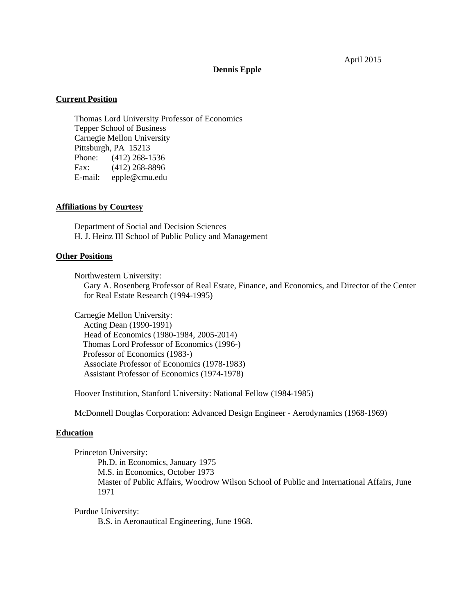April 2015

### **Dennis Epple**

# **Current Position**

 Thomas Lord University Professor of Economics Tepper School of Business Carnegie Mellon University Pittsburgh, PA 15213 Phone: (412) 268-1536 Fax: (412) 268-8896 E-mail: epple@cmu.edu

### **Affiliations by Courtesy**

 Department of Social and Decision Sciences H. J. Heinz III School of Public Policy and Management

### **Other Positions**

Northwestern University:

 Gary A. Rosenberg Professor of Real Estate, Finance, and Economics, and Director of the Center for Real Estate Research (1994-1995)

 Carnegie Mellon University: Acting Dean (1990-1991) Head of Economics (1980-1984, 2005-2014) Thomas Lord Professor of Economics (1996-)

 Professor of Economics (1983-) Associate Professor of Economics (1978-1983) Assistant Professor of Economics (1974-1978)

Hoover Institution, Stanford University: National Fellow (1984-1985)

McDonnell Douglas Corporation: Advanced Design Engineer - Aerodynamics (1968-1969)

### **Education**

 Princeton University: Ph.D. in Economics, January 1975 M.S. in Economics, October 1973 Master of Public Affairs, Woodrow Wilson School of Public and International Affairs, June 1971

Purdue University:

B.S. in Aeronautical Engineering, June 1968.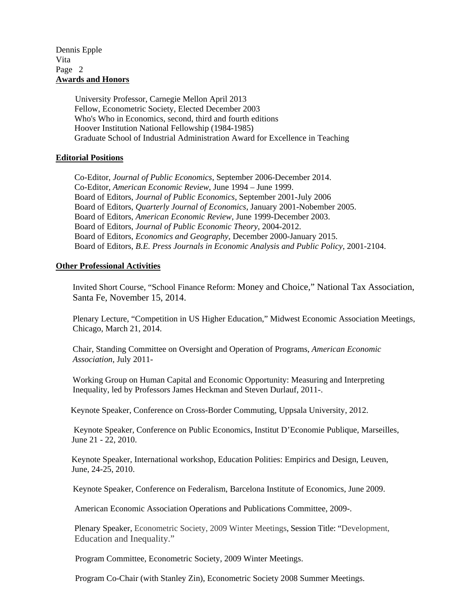# Dennis Epple Vita Page 2 **Awards and Honors**

 University Professor, Carnegie Mellon April 2013 Fellow, Econometric Society, Elected December 2003 Who's Who in Economics, second, third and fourth editions Hoover Institution National Fellowship (1984-1985) Graduate School of Industrial Administration Award for Excellence in Teaching

# **Editorial Positions**

 Co-Editor, *Journal of Public Economics*, September 2006-December 2014. Co-Editor, *American Economic Review*, June 1994 – June 1999. Board of Editors, *Journal of Public Economics*, September 2001-July 2006 Board of Editors, *Quarterly Journal of Economics*, January 2001-Nobember 2005. Board of Editors, *American Economic Review*, June 1999-December 2003. Board of Editors, *Journal of Public Economic Theory*, 2004-2012. Board of Editors, *Economics and Geography*, December 2000-January 2015. Board of Editors, *B.E. Press Journals in Economic Analysis and Public Policy*, 2001-2104.

# **Other Professional Activities**

Invited Short Course, "School Finance Reform: Money and Choice," National Tax Association, Santa Fe, November 15, 2014.

Plenary Lecture, "Competition in US Higher Education," Midwest Economic Association Meetings, Chicago, March 21, 2014.

Chair, Standing Committee on Oversight and Operation of Programs, *American Economic Association*, July 2011-

Working Group on Human Capital and Economic Opportunity: Measuring and Interpreting Inequality, led by Professors James Heckman and Steven Durlauf, 2011-.

Keynote Speaker, Conference on Cross-Border Commuting, Uppsala University, 2012.

 Keynote Speaker, Conference on Public Economics, Institut D'Economie Publique, Marseilles, June 21 - 22, 2010.

Keynote Speaker, International workshop, Education Polities: Empirics and Design, Leuven, June, 24-25, 2010.

Keynote Speaker, Conference on Federalism, Barcelona Institute of Economics, June 2009.

American Economic Association Operations and Publications Committee, 2009-.

Plenary Speaker, Econometric Society, 2009 Winter Meetings, Session Title: "Development, Education and Inequality."

Program Committee, Econometric Society, 2009 Winter Meetings.

Program Co-Chair (with Stanley Zin), Econometric Society 2008 Summer Meetings.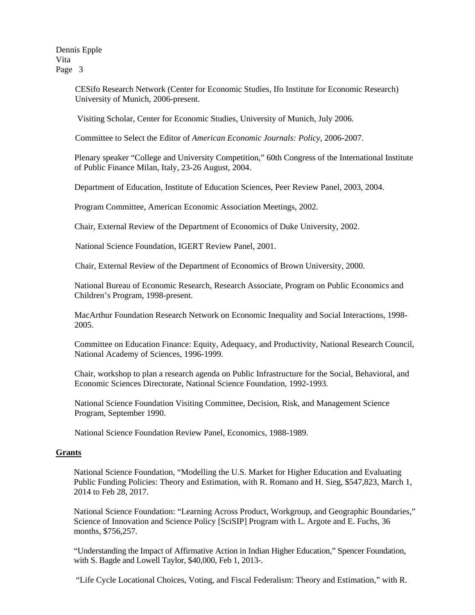> CESifo Research Network (Center for Economic Studies, Ifo Institute for Economic Research) University of Munich, 2006-present.

Visiting Scholar, Center for Economic Studies, University of Munich, July 2006.

Committee to Select the Editor of *American Economic Journals: Policy*, 2006-2007.

Plenary speaker "College and University Competition," 60th Congress of the International Institute of Public Finance Milan, Italy, 23-26 August, 2004.

Department of Education, Institute of Education Sciences, Peer Review Panel, 2003, 2004.

Program Committee, American Economic Association Meetings, 2002.

Chair, External Review of the Department of Economics of Duke University, 2002.

National Science Foundation, IGERT Review Panel, 2001.

Chair, External Review of the Department of Economics of Brown University, 2000.

National Bureau of Economic Research, Research Associate, Program on Public Economics and Children's Program, 1998-present.

MacArthur Foundation Research Network on Economic Inequality and Social Interactions, 1998- 2005.

 Committee on Education Finance: Equity, Adequacy, and Productivity, National Research Council, National Academy of Sciences, 1996-1999.

 Chair, workshop to plan a research agenda on Public Infrastructure for the Social, Behavioral, and Economic Sciences Directorate, National Science Foundation, 1992-1993.

 National Science Foundation Visiting Committee, Decision, Risk, and Management Science Program, September 1990.

National Science Foundation Review Panel, Economics, 1988-1989.

### **Grants**

National Science Foundation, "Modelling the U.S. Market for Higher Education and Evaluating Public Funding Policies: Theory and Estimation, with R. Romano and H. Sieg, \$547,823, March 1, 2014 to Feb 28, 2017.

National Science Foundation: "Learning Across Product, Workgroup, and Geographic Boundaries," Science of Innovation and Science Policy [SciSIP] Program with L. Argote and E. Fuchs, 36 months, \$756,257.

"Understanding the Impact of Affirmative Action in Indian Higher Education," Spencer Foundation, with S. Bagde and Lowell Taylor, \$40,000, Feb 1, 2013-.

"Life Cycle Locational Choices, Voting, and Fiscal Federalism: Theory and Estimation," with R.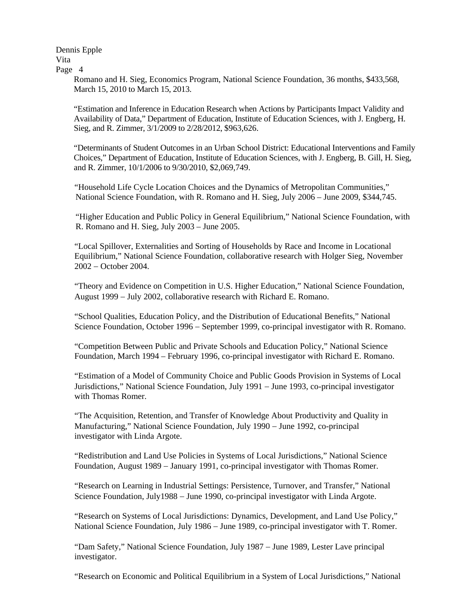> Romano and H. Sieg, Economics Program, National Science Foundation, 36 months, \$433,568, March 15, 2010 to March 15, 2013.

"Estimation and Inference in Education Research when Actions by Participants Impact Validity and Availability of Data," Department of Education, Institute of Education Sciences, with J. Engberg, H. Sieg, and R. Zimmer, 3/1/2009 to 2/28/2012, \$963,626.

"Determinants of Student Outcomes in an Urban School District: Educational Interventions and Family Choices," Department of Education, Institute of Education Sciences, with J. Engberg, B. Gill, H. Sieg, and R. Zimmer, 10/1/2006 to 9/30/2010, \$2,069,749.

 "Household Life Cycle Location Choices and the Dynamics of Metropolitan Communities," National Science Foundation, with R. Romano and H. Sieg, July 2006 – June 2009, \$344,745.

"Higher Education and Public Policy in General Equilibrium," National Science Foundation, with R. Romano and H. Sieg, July 2003 – June 2005.

 "Local Spillover, Externalities and Sorting of Households by Race and Income in Locational Equilibrium," National Science Foundation, collaborative research with Holger Sieg, November  $2002 -$ October 2004.

"Theory and Evidence on Competition in U.S. Higher Education," National Science Foundation, August 1999 – July 2002, collaborative research with Richard E. Romano.

 "School Qualities, Education Policy, and the Distribution of Educational Benefits," National Science Foundation, October 1996 – September 1999, co-principal investigator with R. Romano.

 "Competition Between Public and Private Schools and Education Policy," National Science Foundation, March 1994 – February 1996, co-principal investigator with Richard E. Romano.

 "Estimation of a Model of Community Choice and Public Goods Provision in Systems of Local Jurisdictions," National Science Foundation, July 1991 – June 1993, co-principal investigator with Thomas Romer.

 "The Acquisition, Retention, and Transfer of Knowledge About Productivity and Quality in Manufacturing," National Science Foundation, July 1990 - June 1992, co-principal investigator with Linda Argote.

 "Redistribution and Land Use Policies in Systems of Local Jurisdictions," National Science Foundation, August 1989 January 1991, co-principal investigator with Thomas Romer.

 "Research on Learning in Industrial Settings: Persistence, Turnover, and Transfer," National Science Foundation, July1988 – June 1990, co-principal investigator with Linda Argote.

 "Research on Systems of Local Jurisdictions: Dynamics, Development, and Land Use Policy," National Science Foundation, July 1986 – June 1989, co-principal investigator with T. Romer.

"Dam Safety," National Science Foundation, July 1987 - June 1989, Lester Lave principal investigator.

"Research on Economic and Political Equilibrium in a System of Local Jurisdictions," National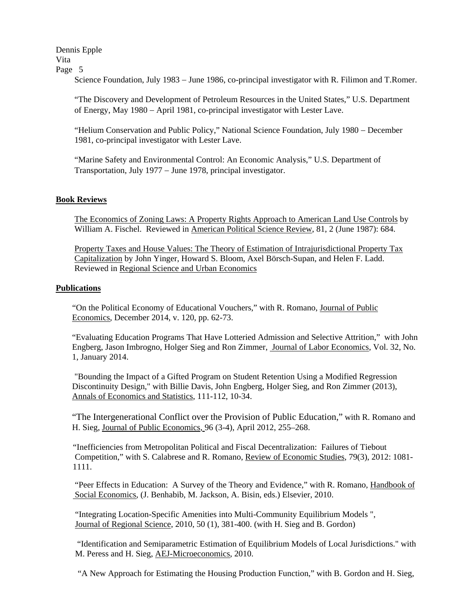Science Foundation, July 1983 – June 1986, co-principal investigator with R. Filimon and T.Romer.

 "The Discovery and Development of Petroleum Resources in the United States," U.S. Department of Energy, May 1980 April 1981, co-principal investigator with Lester Lave.

"Helium Conservation and Public Policy," National Science Foundation, July 1980 – December 1981, co-principal investigator with Lester Lave.

 "Marine Safety and Environmental Control: An Economic Analysis," U.S. Department of Transportation, July 1977 – June 1978, principal investigator.

## **Book Reviews**

 The Economics of Zoning Laws: A Property Rights Approach to American Land Use Controls by William A. Fischel. Reviewed in American Political Science Review, 81, 2 (June 1987): 684.

 Property Taxes and House Values: The Theory of Estimation of Intrajurisdictional Property Tax Capitalization by John Yinger, Howard S. Bloom, Axel Börsch-Supan, and Helen F. Ladd. Reviewed in Regional Science and Urban Economics

## **Publications**

"On the Political Economy of Educational Vouchers," with R. Romano, Journal of Public Economics, December 2014, v. 120, pp. 62-73.

"Evaluating Education Programs That Have Lotteried Admission and Selective Attrition," with John Engberg, Jason Imbrogno, Holger Sieg and Ron Zimmer, Journal of Labor Economics, Vol. 32, No. 1, January 2014.

 "Bounding the Impact of a Gifted Program on Student Retention Using a Modified Regression Discontinuity Design," with Billie Davis, John Engberg, Holger Sieg, and Ron Zimmer (2013), Annals of Economics and Statistics, 111-112, 10-34.

"The Intergenerational Conflict over the Provision of Public Education," with R. Romano and H. Sieg, Journal of Public Economics, 96 (3-4), April 2012, 255–268.

 "Inefficiencies from Metropolitan Political and Fiscal Decentralization: Failures of Tiebout Competition," with S. Calabrese and R. Romano, Review of Economic Studies, 79(3), 2012: 1081- 1111.

 "Peer Effects in Education: A Survey of the Theory and Evidence," with R. Romano, Handbook of Social Economics, (J. Benhabib, M. Jackson, A. Bisin, eds.) Elsevier, 2010.

 "Integrating Location-Specific Amenities into Multi-Community Equilibrium Models ", Journal of Regional Science, 2010, 50 (1), 381-400. (with H. Sieg and B. Gordon)

 "Identification and Semiparametric Estimation of Equilibrium Models of Local Jurisdictions." with M. Peress and H. Sieg, AEJ-Microeconomics, 2010.

"A New Approach for Estimating the Housing Production Function," with B. Gordon and H. Sieg,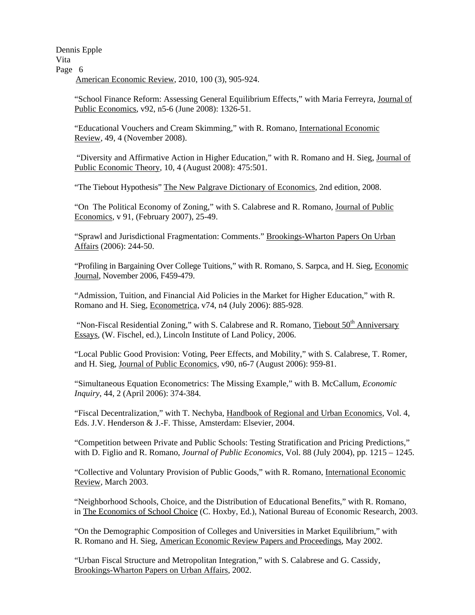Dennis Epple Vita Page 6 American Economic Review, 2010, 100 (3), 905-924.

"School Finance Reform: Assessing General Equilibrium Effects," with Maria Ferreyra, Journal of Public Economics, v92, n5-6 (June 2008): 1326-51.

"Educational Vouchers and Cream Skimming," with R. Romano, International Economic Review, 49, 4 (November 2008).

 "Diversity and Affirmative Action in Higher Education," with R. Romano and H. Sieg, Journal of Public Economic Theory, 10, 4 (August 2008): 475:501.

"The Tiebout Hypothesis" The New Palgrave Dictionary of Economics*,* 2nd edition, 2008.

 "On The Political Economy of Zoning," with S. Calabrese and R. Romano, Journal of Public Economics, v 91, (February 2007), 25-49.

"Sprawl and Jurisdictional Fragmentation: Comments." Brookings-Wharton Papers On Urban Affairs (2006): 244-50.

"Profiling in Bargaining Over College Tuitions," with R. Romano, S. Sarpca, and H. Sieg, Economic Journal, November 2006, F459-479.

"Admission, Tuition, and Financial Aid Policies in the Market for Higher Education," with R. Romano and H. Sieg, Econometrica, v74, n4 (July 2006): 885-928.

"Non-Fiscal Residential Zoning," with S. Calabrese and R. Romano, Tiebout  $50<sup>th</sup>$  Anniversary Essays, (W. Fischel, ed.), Lincoln Institute of Land Policy, 2006.

"Local Public Good Provision: Voting, Peer Effects, and Mobility," with S. Calabrese, T. Romer, and H. Sieg, Journal of Public Economics, v90, n6-7 (August 2006): 959-81.

"Simultaneous Equation Econometrics: The Missing Example," with B. McCallum, *Economic Inquiry*, 44, 2 (April 2006): 374-384.

"Fiscal Decentralization," with T. Nechyba, Handbook of Regional and Urban Economics, Vol. 4, Eds. J.V. Henderson & J.-F. Thisse, Amsterdam: Elsevier, 2004.

"Competition between Private and Public Schools: Testing Stratification and Pricing Predictions," with D. Figlio and R. Romano, *Journal of Public Economics*, Vol. 88 (July 2004), pp. 1215 – 1245.

 "Collective and Voluntary Provision of Public Goods," with R. Romano, International Economic Review, March 2003.

"Neighborhood Schools, Choice, and the Distribution of Educational Benefits," with R. Romano, in The Economics of School Choice (C. Hoxby, Ed.), National Bureau of Economic Research, 2003.

 "On the Demographic Composition of Colleges and Universities in Market Equilibrium," with R. Romano and H. Sieg, American Economic Review Papers and Proceedings, May 2002.

"Urban Fiscal Structure and Metropolitan Integration," with S. Calabrese and G. Cassidy, Brookings-Wharton Papers on Urban Affairs, 2002.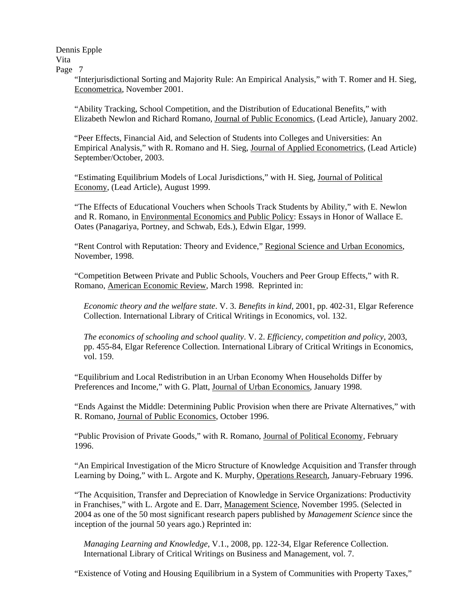> "Interjurisdictional Sorting and Majority Rule: An Empirical Analysis," with T. Romer and H. Sieg, Econometrica, November 2001.

> "Ability Tracking, School Competition, and the Distribution of Educational Benefits," with Elizabeth Newlon and Richard Romano, Journal of Public Economics, (Lead Article), January 2002.

> "Peer Effects, Financial Aid, and Selection of Students into Colleges and Universities: An Empirical Analysis," with R. Romano and H. Sieg, Journal of Applied Econometrics, (Lead Article) September/October, 2003.

 "Estimating Equilibrium Models of Local Jurisdictions," with H. Sieg, Journal of Political Economy, (Lead Article), August 1999.

 "The Effects of Educational Vouchers when Schools Track Students by Ability," with E. Newlon and R. Romano, in Environmental Economics and Public Policy: Essays in Honor of Wallace E. Oates (Panagariya, Portney, and Schwab, Eds.), Edwin Elgar, 1999.

 "Rent Control with Reputation: Theory and Evidence," Regional Science and Urban Economics, November, 1998.

 "Competition Between Private and Public Schools, Vouchers and Peer Group Effects," with R. Romano, American Economic Review, March 1998. Reprinted in:

*Economic theory and the welfare state*. V. 3. *Benefits in kind*, 2001, pp. 402-31, Elgar Reference Collection. International Library of Critical Writings in Economics, vol. 132.

*The economics of schooling and school quality*. V. 2. *Efficiency, competition and policy*, 2003, pp. 455-84, Elgar Reference Collection. International Library of Critical Writings in Economics, vol. 159.

 "Equilibrium and Local Redistribution in an Urban Economy When Households Differ by Preferences and Income," with G. Platt, Journal of Urban Economics, January 1998.

 "Ends Against the Middle: Determining Public Provision when there are Private Alternatives," with R. Romano, Journal of Public Economics, October 1996.

 "Public Provision of Private Goods," with R. Romano, Journal of Political Economy, February 1996.

 "An Empirical Investigation of the Micro Structure of Knowledge Acquisition and Transfer through Learning by Doing," with L. Argote and K. Murphy, Operations Research, January-February 1996.

 "The Acquisition, Transfer and Depreciation of Knowledge in Service Organizations: Productivity in Franchises," with L. Argote and E. Darr, Management Science, November 1995. (Selected in 2004 as one of the 50 most significant research papers published by *Management Science* since the inception of the journal 50 years ago.) Reprinted in:

*Managing Learning and Knowledge*, V.1., 2008, pp. 122-34, Elgar Reference Collection. International Library of Critical Writings on Business and Management, vol. 7.

"Existence of Voting and Housing Equilibrium in a System of Communities with Property Taxes,"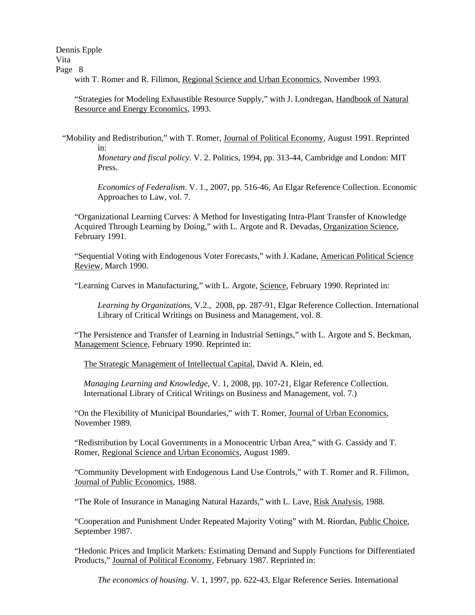Dennis Epple Vita

Page 8

with T. Romer and R. Filimon, Regional Science and Urban Economics, November 1993.

"Strategies for Modeling Exhaustible Resource Supply," with J. Londregan, Handbook of Natural Resource and Energy Economics, 1993.

 "Mobility and Redistribution," with T. Romer, Journal of Political Economy, August 1991. Reprinted in:

 *Monetary and fiscal policy*. V. 2. Politics, 1994, pp. 313-44, Cambridge and London: MIT Press.

 *Economics of Federalism*. V. 1., 2007, pp. 516-46, An Elgar Reference Collection. Economic Approaches to Law, vol. 7.

 "Organizational Learning Curves: A Method for Investigating Intra-Plant Transfer of Knowledge Acquired Through Learning by Doing," with L. Argote and R. Devadas, Organization Science, February 1991.

 "Sequential Voting with Endogenous Voter Forecasts," with J. Kadane, American Political Science Review, March 1990.

"Learning Curves in Manufacturing," with L. Argote, Science, February 1990. Reprinted in:

 *Learning by Organizations*, V.2., 2008, pp. 287-91, Elgar Reference Collection. International Library of Critical Writings on Business and Management, vol. 8.

 "The Persistence and Transfer of Learning in Industrial Settings," with L. Argote and S. Beckman, Management Science, February 1990. Reprinted in:

The Strategic Management of Intellectual Capital, David A. Klein, ed.

 *Managing Learning and Knowledge*, V. 1, 2008, pp. 107-21, Elgar Reference Collection. International Library of Critical Writings on Business and Management, vol. 7.)

 "On the Flexibility of Municipal Boundaries," with T. Romer, Journal of Urban Economics, November 1989.

 "Redistribution by Local Governments in a Monocentric Urban Area," with G. Cassidy and T. Romer, Regional Science and Urban Economics, August 1989.

"Community Development with Endogenous Land Use Controls," with T. Romer and R. Filimon, Journal of Public Economics, 1988.

"The Role of Insurance in Managing Natural Hazards," with L. Lave, Risk Analysis, 1988.

 "Cooperation and Punishment Under Repeated Majority Voting" with M. Riordan, Public Choice, September 1987.

 "Hedonic Prices and Implicit Markets: Estimating Demand and Supply Functions for Differentiated Products," Journal of Political Economy, February 1987. Reprinted in:

*The economics of housing*. V. 1, 1997, pp. 622-43, Elgar Reference Series. International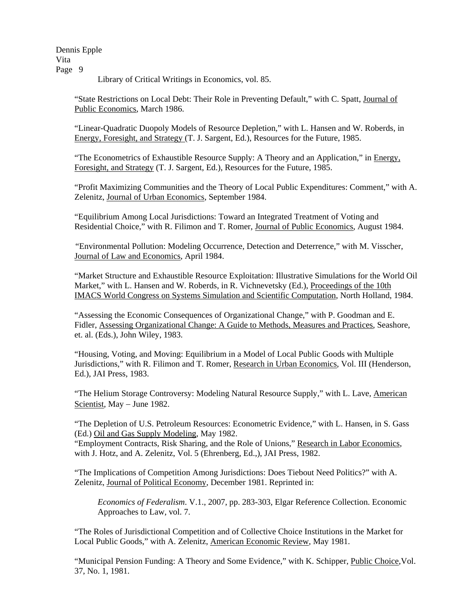Library of Critical Writings in Economics, vol. 85.

 "State Restrictions on Local Debt: Their Role in Preventing Default," with C. Spatt, Journal of Public Economics, March 1986.

 "Linear-Quadratic Duopoly Models of Resource Depletion," with L. Hansen and W. Roberds, in Energy, Foresight, and Strategy (T. J. Sargent, Ed.), Resources for the Future, 1985.

"The Econometrics of Exhaustible Resource Supply: A Theory and an Application," in Energy, Foresight, and Strategy (T. J. Sargent, Ed.), Resources for the Future, 1985.

 "Profit Maximizing Communities and the Theory of Local Public Expenditures: Comment," with A. Zelenitz, Journal of Urban Economics, September 1984.

"Equilibrium Among Local Jurisdictions: Toward an Integrated Treatment of Voting and Residential Choice," with R. Filimon and T. Romer, Journal of Public Economics, August 1984.

 "Environmental Pollution: Modeling Occurrence, Detection and Deterrence," with M. Visscher, Journal of Law and Economics, April 1984.

"Market Structure and Exhaustible Resource Exploitation: Illustrative Simulations for the World Oil Market," with L. Hansen and W. Roberds, in R. Vichnevetsky (Ed.), Proceedings of the 10th IMACS World Congress on Systems Simulation and Scientific Computation, North Holland, 1984.

 "Assessing the Economic Consequences of Organizational Change," with P. Goodman and E. Fidler, Assessing Organizational Change: A Guide to Methods, Measures and Practices, Seashore, et. al. (Eds.), John Wiley, 1983.

 "Housing, Voting, and Moving: Equilibrium in a Model of Local Public Goods with Multiple Jurisdictions," with R. Filimon and T. Romer, Research in Urban Economics, Vol. III (Henderson, Ed.), JAI Press, 1983.

 "The Helium Storage Controversy: Modeling Natural Resource Supply," with L. Lave, American Scientist, May – June 1982.

 "The Depletion of U.S. Petroleum Resources: Econometric Evidence," with L. Hansen, in S. Gass (Ed.) Oil and Gas Supply Modeling, May 1982.

 "Employment Contracts, Risk Sharing, and the Role of Unions," Research in Labor Economics, with J. Hotz, and A. Zelenitz, Vol. 5 (Ehrenberg, Ed.,), JAI Press, 1982.

 "The Implications of Competition Among Jurisdictions: Does Tiebout Need Politics?" with A. Zelenitz, Journal of Political Economy, December 1981. Reprinted in:

 *Economics of Federalism*. V.1., 2007, pp. 283-303, Elgar Reference Collection. Economic Approaches to Law, vol. 7.

 "The Roles of Jurisdictional Competition and of Collective Choice Institutions in the Market for Local Public Goods," with A. Zelenitz, American Economic Review, May 1981.

 "Municipal Pension Funding: A Theory and Some Evidence," with K. Schipper, Public Choice,Vol. 37, No. 1, 1981.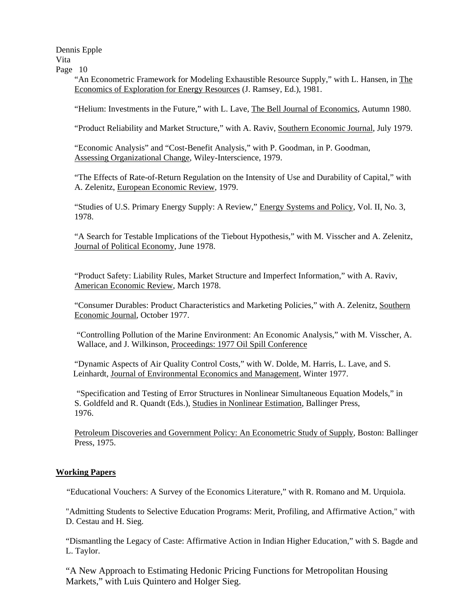Dennis Epple Vita

Page 10

 "An Econometric Framework for Modeling Exhaustible Resource Supply," with L. Hansen, in The Economics of Exploration for Energy Resources (J. Ramsey, Ed.), 1981.

"Helium: Investments in the Future," with L. Lave, The Bell Journal of Economics, Autumn 1980.

"Product Reliability and Market Structure," with A. Raviv, Southern Economic Journal, July 1979.

 "Economic Analysis" and "Cost-Benefit Analysis," with P. Goodman, in P. Goodman, Assessing Organizational Change, Wiley-Interscience, 1979.

 "The Effects of Rate-of-Return Regulation on the Intensity of Use and Durability of Capital," with A. Zelenitz, European Economic Review, 1979.

 "Studies of U.S. Primary Energy Supply: A Review," Energy Systems and Policy, Vol. II, No. 3, 1978.

 "A Search for Testable Implications of the Tiebout Hypothesis," with M. Visscher and A. Zelenitz, Journal of Political Economy, June 1978.

 "Product Safety: Liability Rules, Market Structure and Imperfect Information," with A. Raviv, American Economic Review, March 1978.

 "Consumer Durables: Product Characteristics and Marketing Policies," with A. Zelenitz, Southern Economic Journal, October 1977.

"Controlling Pollution of the Marine Environment: An Economic Analysis," with M. Visscher, A. Wallace, and J. Wilkinson, Proceedings: 1977 Oil Spill Conference

 "Dynamic Aspects of Air Quality Control Costs," with W. Dolde, M. Harris, L. Lave, and S. Leinhardt, Journal of Environmental Economics and Management, Winter 1977.

 "Specification and Testing of Error Structures in Nonlinear Simultaneous Equation Models," in S. Goldfeld and R. Quandt (Eds.), Studies in Nonlinear Estimation, Ballinger Press, 1976.

Petroleum Discoveries and Government Policy: An Econometric Study of Supply, Boston: Ballinger Press, 1975.

# **Working Papers**

"Educational Vouchers: A Survey of the Economics Literature," with R. Romano and M. Urquiola.

"Admitting Students to Selective Education Programs: Merit, Profiling, and Affirmative Action," with D. Cestau and H. Sieg.

"Dismantling the Legacy of Caste: Affirmative Action in Indian Higher Education," with S. Bagde and L. Taylor.

"A New Approach to Estimating Hedonic Pricing Functions for Metropolitan Housing Markets," with Luis Quintero and Holger Sieg.